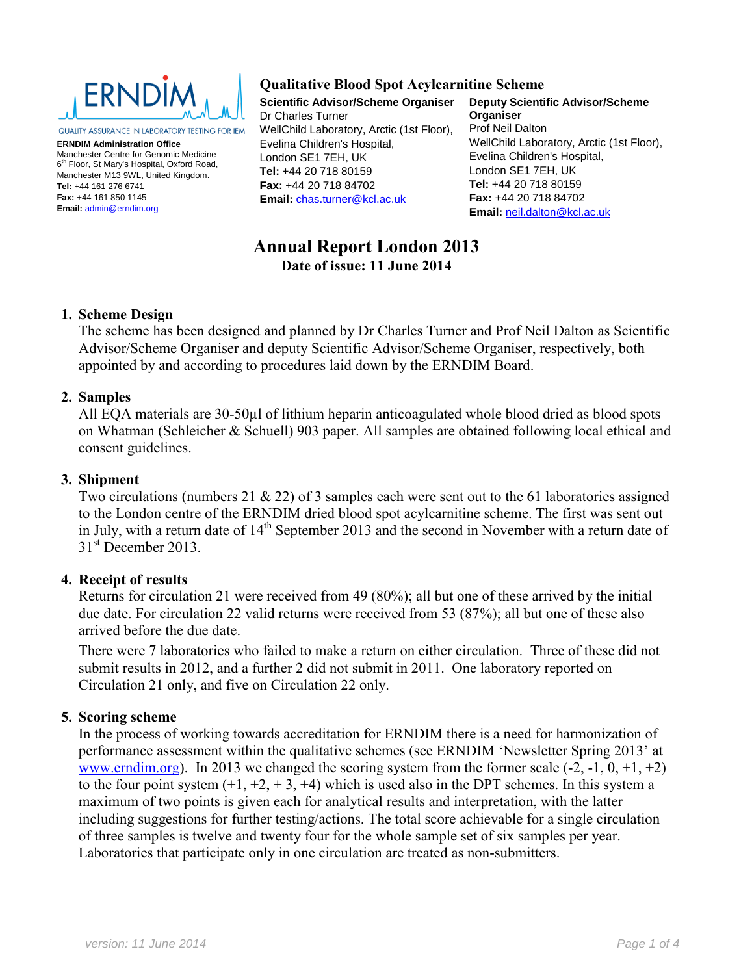

QUALITY ASSURANCE IN LABORATORY TESTING FOR IEM

**ERNDIM Administration Office** Manchester Centre for Genomic Medicine 6<sup>th</sup> Floor, St Mary's Hospital, Oxford Road, Manchester M13 9WL, United Kingdom. **Tel:** +44 161 276 6741 **Fax:** +44 161 850 1145 **Email:** [admin@erndim.org](mailto:admin@erndim.org)

# **Qualitative Blood Spot Acylcarnitine Scheme**

**Scientific Advisor/Scheme Organiser** Dr Charles Turner WellChild Laboratory, Arctic (1st Floor), Evelina Children's Hospital, London SE1 7EH, UK **Tel:** +44 20 718 80159 **Fax:** +44 20 718 84702 **Email:** [chas.turner@kcl.ac.uk](mailto:chas.turner@kcl.ac.uk)

**Deputy Scientific Advisor/Scheme Organiser** Prof Neil Dalton WellChild Laboratory, Arctic (1st Floor), Evelina Children's Hospital, London SE1 7EH, UK **Tel:** +44 20 718 80159 **Fax:** +44 20 718 84702 **Email:** [neil.dalton@kcl.ac.uk](mailto:‎neil.dalton@kcl.ac.uk)

# **Annual Report London 2013 Date of issue: 11 June 2014**

#### **1. Scheme Design**

The scheme has been designed and planned by Dr Charles Turner and Prof Neil Dalton as Scientific Advisor/Scheme Organiser and deputy Scientific Advisor/Scheme Organiser, respectively, both appointed by and according to procedures laid down by the ERNDIM Board.

#### **2. Samples**

All EQA materials are 30-50µl of lithium heparin anticoagulated whole blood dried as blood spots on Whatman (Schleicher & Schuell) 903 paper. All samples are obtained following local ethical and consent guidelines.

#### **3. Shipment**

Two circulations (numbers 21 & 22) of 3 samples each were sent out to the 61 laboratories assigned to the London centre of the ERNDIM dried blood spot acylcarnitine scheme. The first was sent out in July, with a return date of 14<sup>th</sup> September 2013 and the second in November with a return date of  $31<sup>st</sup>$  December 2013.

#### **4. Receipt of results**

Returns for circulation 21 were received from 49 (80%); all but one of these arrived by the initial due date. For circulation 22 valid returns were received from 53 (87%); all but one of these also arrived before the due date.

There were 7 laboratories who failed to make a return on either circulation. Three of these did not submit results in 2012, and a further 2 did not submit in 2011. One laboratory reported on Circulation 21 only, and five on Circulation 22 only.

#### **5. Scoring scheme**

In the process of working towards accreditation for ERNDIM there is a need for harmonization of performance assessment within the qualitative schemes (see ERNDIM 'Newsletter Spring 2013' at [www.erndim.org\)](http://www.erndim.org/). In 2013 we changed the scoring system from the former scale  $(-2, -1, 0, +1, +2)$ to the four point system  $(+1, +2, +3, +4)$  which is used also in the DPT schemes. In this system a maximum of two points is given each for analytical results and interpretation, with the latter including suggestions for further testing/actions. The total score achievable for a single circulation of three samples is twelve and twenty four for the whole sample set of six samples per year. Laboratories that participate only in one circulation are treated as non-submitters.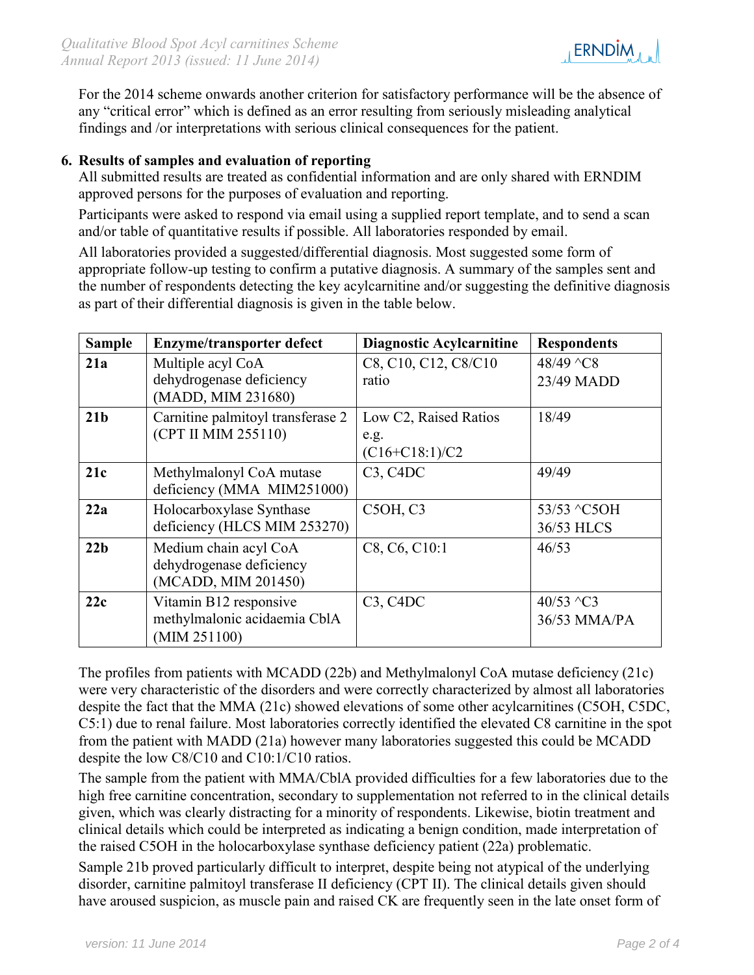

For the 2014 scheme onwards another criterion for satisfactory performance will be the absence of any "critical error" which is defined as an error resulting from seriously misleading analytical findings and /or interpretations with serious clinical consequences for the patient.

# **6. Results of samples and evaluation of reporting**

All submitted results are treated as confidential information and are only shared with ERNDIM approved persons for the purposes of evaluation and reporting.

Participants were asked to respond via email using a supplied report template, and to send a scan and/or table of quantitative results if possible. All laboratories responded by email.

All laboratories provided a suggested/differential diagnosis. Most suggested some form of appropriate follow-up testing to confirm a putative diagnosis. A summary of the samples sent and the number of respondents detecting the key acylcarnitine and/or suggesting the definitive diagnosis as part of their differential diagnosis is given in the table below.

| <b>Sample</b>   | <b>Enzyme/transporter defect</b>                                         | <b>Diagnostic Acylcarnitine</b>                   | <b>Respondents</b>                     |
|-----------------|--------------------------------------------------------------------------|---------------------------------------------------|----------------------------------------|
| 21a             | Multiple acyl CoA<br>dehydrogenase deficiency<br>(MADD, MIM 231680)      | C8, C10, C12, C8/C10<br>ratio                     | 48/49 ^C8<br>23/49 MADD                |
| 21 <sub>b</sub> | Carnitine palmitoyl transferase 2<br>(CPT II MIM 255110)                 | Low C2, Raised Ratios<br>e.g.<br>$(C16+C18:1)/C2$ | 18/49                                  |
| 21c             | Methylmalonyl CoA mutase<br>deficiency (MMA MIM251000)                   | C3, CADC                                          | 49/49                                  |
| 22a             | Holocarboxylase Synthase<br>deficiency (HLCS MIM 253270)                 | C5OH, C3                                          | 53/53 ^C5OH<br>36/53 HLCS              |
| 22 <sub>b</sub> | Medium chain acyl CoA<br>dehydrogenase deficiency<br>(MCADD, MIM 201450) | C8, C6, C10:1                                     | 46/53                                  |
| 22c             | Vitamin B12 responsive<br>methylmalonic acidaemia CblA<br>(MIM 251100)   | C3, CADC                                          | 40/53 $\textdegree$ C3<br>36/53 MMA/PA |

The profiles from patients with MCADD (22b) and Methylmalonyl CoA mutase deficiency (21c) were very characteristic of the disorders and were correctly characterized by almost all laboratories despite the fact that the MMA (21c) showed elevations of some other acylcarnitines (C5OH, C5DC, C5:1) due to renal failure. Most laboratories correctly identified the elevated C8 carnitine in the spot from the patient with MADD (21a) however many laboratories suggested this could be MCADD despite the low C8/C10 and C10:1/C10 ratios.

The sample from the patient with MMA/CblA provided difficulties for a few laboratories due to the high free carnitine concentration, secondary to supplementation not referred to in the clinical details given, which was clearly distracting for a minority of respondents. Likewise, biotin treatment and clinical details which could be interpreted as indicating a benign condition, made interpretation of the raised C5OH in the holocarboxylase synthase deficiency patient (22a) problematic.

Sample 21b proved particularly difficult to interpret, despite being not atypical of the underlying disorder, carnitine palmitoyl transferase II deficiency (CPT II). The clinical details given should have aroused suspicion, as muscle pain and raised CK are frequently seen in the late onset form of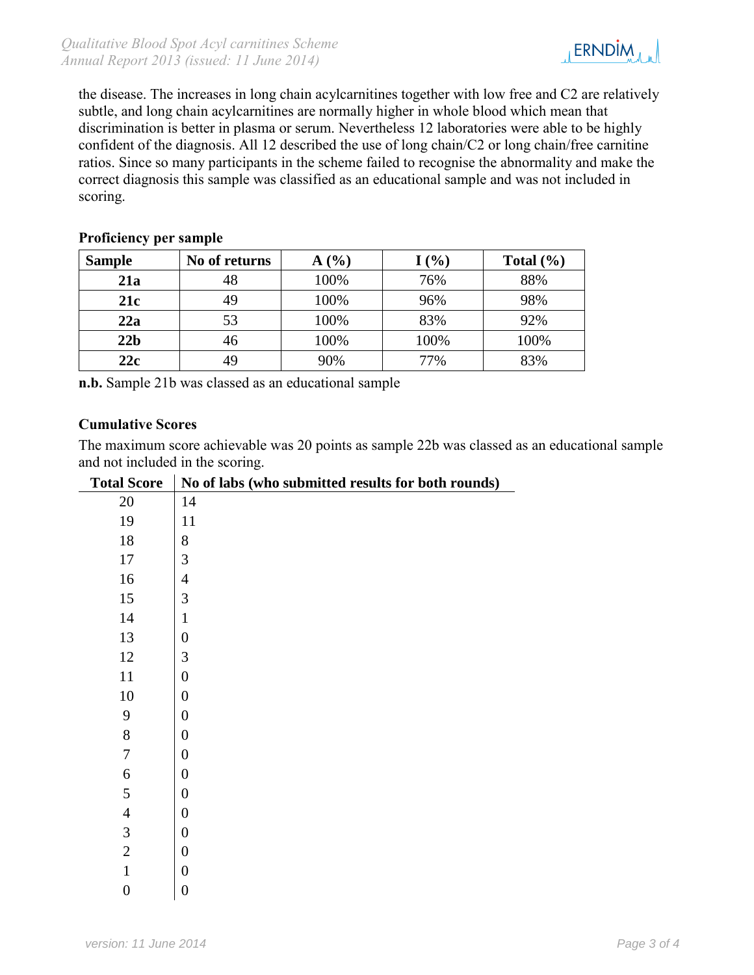

the disease. The increases in long chain acylcarnitines together with low free and C2 are relatively subtle, and long chain acylcarnitines are normally higher in whole blood which mean that discrimination is better in plasma or serum. Nevertheless 12 laboratories were able to be highly confident of the diagnosis. All 12 described the use of long chain/C2 or long chain/free carnitine ratios. Since so many participants in the scheme failed to recognise the abnormality and make the correct diagnosis this sample was classified as an educational sample and was not included in scoring.

# **Proficiency per sample**

| <b>Sample</b>   | No of returns | A(%) | $I($ %) | Total $(\% )$ |
|-----------------|---------------|------|---------|---------------|
| 21a             | 48            | 100% | 76%     | 88%           |
| 21c             | 49            | 100% | 96%     | 98%           |
| 22a             | 53            | 100% | 83%     | 92%           |
| 22 <sub>b</sub> | 46            | 100% | 100%    | 100%          |
| 22c             | 49            | 90%  | 77%     | 83%           |

**n.b.** Sample 21b was classed as an educational sample

# **Cumulative Scores**

The maximum score achievable was 20 points as sample 22b was classed as an educational sample and not included in the scoring.

| otal Score     | <b>INO OL</b><br>1,              |
|----------------|----------------------------------|
| 20             | 14                               |
| 19             | 11                               |
| 18             | 8                                |
| 17             | 3                                |
| 16             | $\overline{4}$                   |
| 15             | 3                                |
| 14             | $\mathbf{1}$                     |
| 13             | $\overline{0}$                   |
| 12             | $\frac{3}{0}$                    |
| 11             |                                  |
| 10             |                                  |
| 9              | $\begin{matrix}0\\0\end{matrix}$ |
| 8              | $\boldsymbol{0}$                 |
| 7              | $\overline{0}$                   |
| 6              | $\boldsymbol{0}$                 |
| 5              | $\overline{0}$                   |
| $\overline{4}$ | $\overline{0}$                   |
| 3              | $\overline{0}$                   |
| $\overline{c}$ | $\frac{1}{\sqrt{2}}$             |
| $\mathbf{1}$   | $\frac{0}{\sqrt{2}}$             |
| $\overline{0}$ | $\overline{0}$                   |
|                |                                  |

# Total Score | No of labs (who submitted results for both rounds)